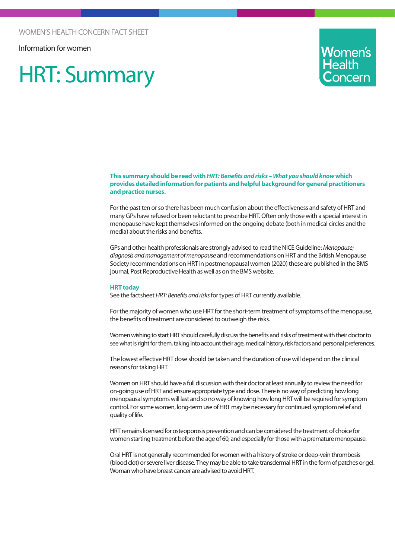Information for women

# HRT: Summary



#### **This summary should be read with** *HRT: Benefits and risks – What you should know* **which provides detailed information for patients and helpful background for general practitioners and practice nurses.**

For the past ten or so there has been much confusion about the effectiveness and safety of HRT and many GPs have refused or been reluctant to prescribe HRT. Often only those with a special interest in menopause have kept themselves informed on the ongoing debate (both in medical circles and the media) about the risks and benefits.

GPs and other health professionals are strongly advised to read the NICE Guideline: *Menopause; diagnosis and management of menopause* and recommendations on HRT and the British Menopause Society recommendations on HRT in postmenopausal women (2020) these are published in the BMS journal, Post Reproductive Health as well as on the BMS website.

#### **HRT today**

See the factsheet *HRT: Benefits and risks* for types of HRT currently available.

For the majority of women who use HRT for the short-term treatment of symptoms of the menopause, the benefits of treatment are considered to outweigh the risks.

Women wishing to start HRT should carefully discuss the benefits and risks of treatment with their doctor to see what is right for them, taking into account their age, medical history, risk factors and personal preferences.

The lowest effective HRT dose should be taken and the duration of use will depend on the clinical reasons for taking HRT.

Women on HRT should have a full discussion with their doctor at least annually to review the need for on-going use of HRT and ensure appropriate type and dose. There is no way of predicting how long menopausal symptoms will last and so no way of knowing how long HRT will be required for symptom control. For some women, long-term use of HRT may be necessary for continued symptom relief and quality of life.

HRT remains licensed for osteoporosis prevention and can be considered the treatment of choice for women starting treatment before the age of 60, and especially for those with a premature menopause.

Oral HRT is not generally recommended for women with a history of stroke or deep-vein thrombosis (blood clot) or severe liver disease. They may be able to take transdermal HRT in the form of patches or gel. Woman who have breast cancer are advised to avoid HRT.